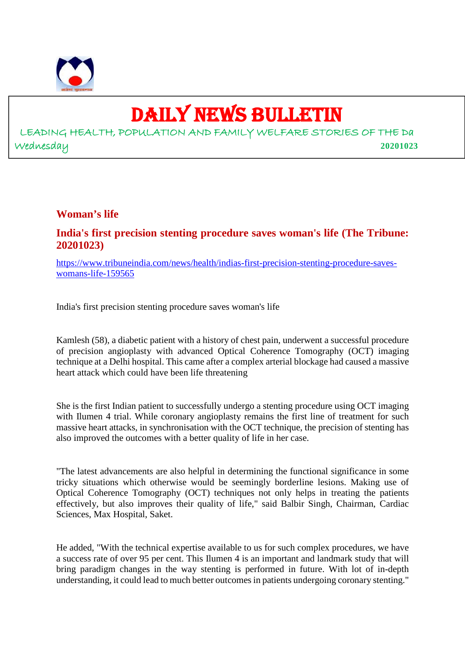

# DAILY NEWS BULLETIN

LEADING HEALTH, POPULATION AND FAMILY WELFARE STORIES OF THE Da Wednesday **20201023**

#### **Woman's life**

# **India's first precision stenting procedure saves woman's life (The Tribune: 20201023)**

https://www.tribuneindia.com/news/health/indias-first-precision-stenting-procedure-saveswomans-life-159565

India's first precision stenting procedure saves woman's life

Kamlesh (58), a diabetic patient with a history of chest pain, underwent a successful procedure of precision angioplasty with advanced Optical Coherence Tomography (OCT) imaging technique at a Delhi hospital. This came after a complex arterial blockage had caused a massive heart attack which could have been life threatening

She is the first Indian patient to successfully undergo a stenting procedure using OCT imaging with Ilumen 4 trial. While coronary angioplasty remains the first line of treatment for such massive heart attacks, in synchronisation with the OCT technique, the precision of stenting has also improved the outcomes with a better quality of life in her case.

"The latest advancements are also helpful in determining the functional significance in some tricky situations which otherwise would be seemingly borderline lesions. Making use of Optical Coherence Tomography (OCT) techniques not only helps in treating the patients effectively, but also improves their quality of life," said Balbir Singh, Chairman, Cardiac Sciences, Max Hospital, Saket.

He added, "With the technical expertise available to us for such complex procedures, we have a success rate of over 95 per cent. This Ilumen 4 is an important and landmark study that will bring paradigm changes in the way stenting is performed in future. With lot of in-depth understanding, it could lead to much better outcomes in patients undergoing coronary stenting."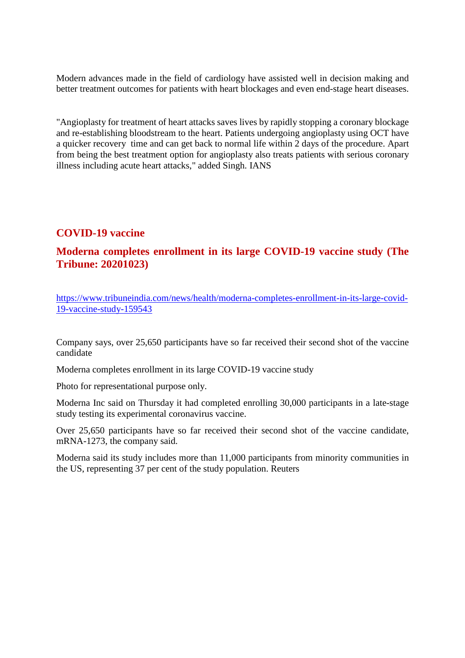Modern advances made in the field of cardiology have assisted well in decision making and better treatment outcomes for patients with heart blockages and even end-stage heart diseases.

"Angioplasty for treatment of heart attacks saves lives by rapidly stopping a coronary blockage and re-establishing bloodstream to the heart. Patients undergoing angioplasty using OCT have a quicker recovery time and can get back to normal life within 2 days of the procedure. Apart from being the best treatment option for angioplasty also treats patients with serious coronary illness including acute heart attacks," added Singh. IANS

# **COVID-19 vaccine**

# **Moderna completes enrollment in its large COVID-19 vaccine study (The Tribune: 20201023)**

https://www.tribuneindia.com/news/health/moderna-completes-enrollment-in-its-large-covid-19-vaccine-study-159543

Company says, over 25,650 participants have so far received their second shot of the vaccine candidate

Moderna completes enrollment in its large COVID-19 vaccine study

Photo for representational purpose only.

Moderna Inc said on Thursday it had completed enrolling 30,000 participants in a late-stage study testing its experimental coronavirus vaccine.

Over 25,650 participants have so far received their second shot of the vaccine candidate, mRNA-1273, the company said.

Moderna said its study includes more than 11,000 participants from minority communities in the US, representing 37 per cent of the study population. Reuters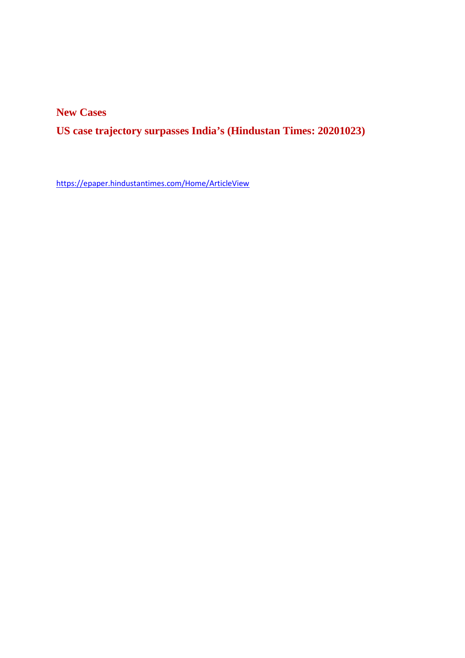**New Cases**

**US case trajectory surpasses India's (Hindustan Times: 20201023)**

https://epaper.hindustantimes.com/Home/ArticleView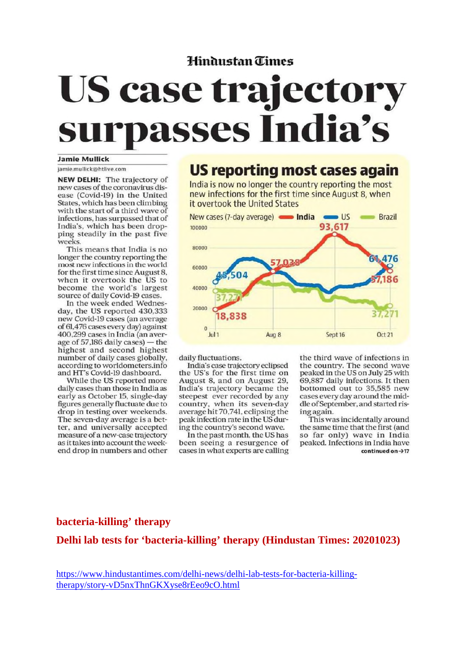# Hindustan Times

# **US case trajectory** surpasses India's

#### **Jamie Mullick**

jamie.mullick@htlive.com

**NEW DELHI:** The trajectory of new cases of the coronavirus disease (Covid-19) in the United States, which has been climbing with the start of a third wave of infections, has surpassed that of India's, which has been dropping steadily in the past five weeks.

This means that India is no longer the country reporting the most new infections in the world for the first time since August 8. when it overtook the US to become the world's largest source of daily Covid-19 cases.

In the week ended Wednesday, the US reported 430,333 new Covid-19 cases (an average of 61,476 cases every day) against 400,299 cases in India (an average of 57,186 daily cases) - the highest and second highest number of daily cases globally, according to worldometers.info and HT's Covid-19 dashboard.

While the US reported more daily cases than those in India as early as October 15, single-day figures generally fluctuate due to drop in testing over weekends. The seven-day average is a better, and universally accepted measure of a new-case trajectory as it takes into account the weekend drop in numbers and other

# **US reporting most cases again**

India is now no longer the country reporting the most new infections for the first time since August 8, when it overtook the United States



daily fluctuations.

India's case trajectory eclipsed the US's for the first time on August 8, and on August 29, India's trajectory became the steepest ever recorded by any country, when its seven-day<br>average hit 70,741, eclipsing the peak infection rate in the US during the country's second wave.

In the past month, the US has been seeing a resurgence of cases in what experts are calling the third wave of infections in the country. The second wave peaked in the US on July 25 with 69,887 daily infections. It then bottomed out to 35,585 new cases every day around the middle of September, and started rising again.

This was incidentally around the same time that the first (and so far only) wave in India peaked. Infections in India have continued on  $\rightarrow$  17

#### **bacteria-killing' therapy**

**Delhi lab tests for 'bacteria-killing' therapy (Hindustan Times: 20201023)**

https://www.hindustantimes.com/delhi-news/delhi-lab-tests-for-bacteria-killingtherapy/story-vD5nxThnGKXyse8rEeo9cO.html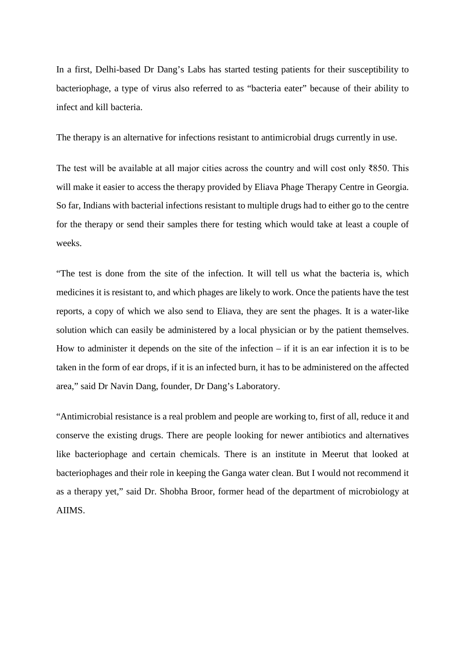In a first, Delhi-based Dr Dang's Labs has started testing patients for their susceptibility to bacteriophage, a type of virus also referred to as "bacteria eater" because of their ability to infect and kill bacteria.

The therapy is an alternative for infections resistant to antimicrobial drugs currently in use.

The test will be available at all major cities across the country and will cost only ₹850. This will make it easier to access the therapy provided by Eliava Phage Therapy Centre in Georgia. So far, Indians with bacterial infections resistant to multiple drugs had to either go to the centre for the therapy or send their samples there for testing which would take at least a couple of weeks.

"The test is done from the site of the infection. It will tell us what the bacteria is, which medicines it is resistant to, and which phages are likely to work. Once the patients have the test reports, a copy of which we also send to Eliava, they are sent the phages. It is a water-like solution which can easily be administered by a local physician or by the patient themselves. How to administer it depends on the site of the infection – if it is an ear infection it is to be taken in the form of ear drops, if it is an infected burn, it has to be administered on the affected area," said Dr Navin Dang, founder, Dr Dang's Laboratory.

"Antimicrobial resistance is a real problem and people are working to, first of all, reduce it and conserve the existing drugs. There are people looking for newer antibiotics and alternatives like bacteriophage and certain chemicals. There is an institute in Meerut that looked at bacteriophages and their role in keeping the Ganga water clean. But I would not recommend it as a therapy yet," said Dr. Shobha Broor, former head of the department of microbiology at AIIMS.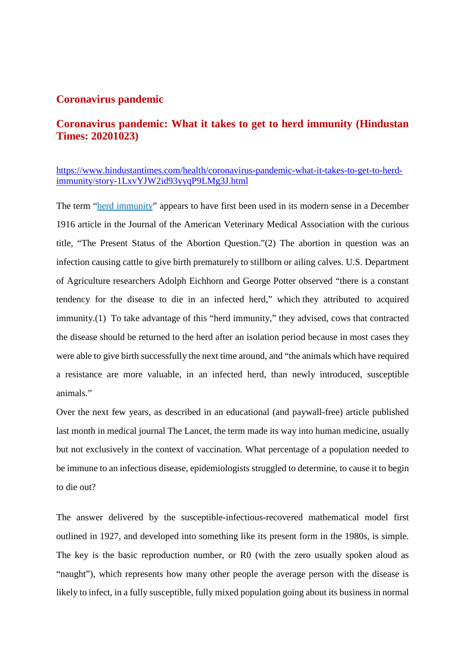#### **Coronavirus pandemic**

# **Coronavirus pandemic: What it takes to get to herd immunity (Hindustan Times: 20201023)**

#### https://www.hindustantimes.com/health/coronavirus-pandemic-what-it-takes-to-get-to-herdimmunity/story-1LxvYJW2id93yyqP9LMg3J.html

The term "herd immunity" appears to have first been used in its modern sense in a December 1916 article in the Journal of the American Veterinary Medical Association with the curious title, "The Present Status of the Abortion Question."(2) The abortion in question was an infection causing cattle to give birth prematurely to stillborn or ailing calves. U.S. Department of Agriculture researchers Adolph Eichhorn and George Potter observed "there is a constant tendency for the disease to die in an infected herd," which they attributed to acquired immunity.(1) To take advantage of this "herd immunity," they advised, cows that contracted the disease should be returned to the herd after an isolation period because in most cases they were able to give birth successfully the next time around, and "the animals which have required a resistance are more valuable, in an infected herd, than newly introduced, susceptible animals."

Over the next few years, as described in an educational (and paywall-free) article published last month in medical journal The Lancet, the term made its way into human medicine, usually but not exclusively in the context of vaccination. What percentage of a population needed to be immune to an infectious disease, epidemiologists struggled to determine, to cause it to begin to die out?

The answer delivered by the susceptible-infectious-recovered mathematical model first outlined in 1927, and developed into something like its present form in the 1980s, is simple. The key is the basic reproduction number, or R0 (with the zero usually spoken aloud as "naught"), which represents how many other people the average person with the disease is likely to infect, in a fully susceptible, fully mixed population going about its business in normal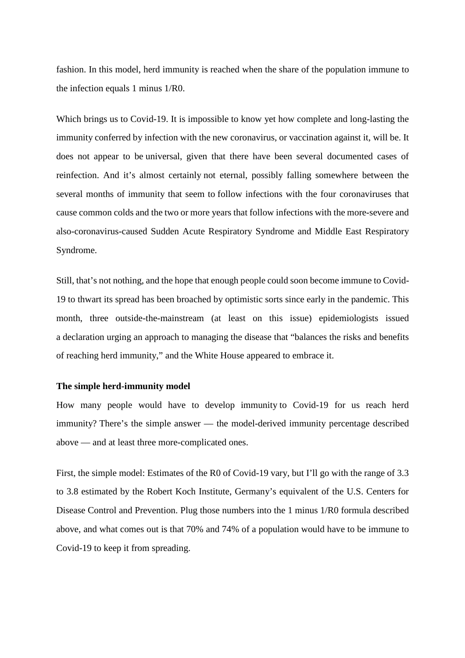fashion. In this model, herd immunity is reached when the share of the population immune to the infection equals 1 minus 1/R0.

Which brings us to Covid-19. It is impossible to know yet how complete and long-lasting the immunity conferred by infection with the new coronavirus, or vaccination against it, will be. It does not appear to be universal, given that there have been several documented cases of reinfection. And it's almost certainly not eternal, possibly falling somewhere between the several months of immunity that seem to follow infections with the four coronaviruses that cause common colds and the two or more years that follow infections with the more-severe and also-coronavirus-caused Sudden Acute Respiratory Syndrome and Middle East Respiratory Syndrome.

Still, that's not nothing, and the hope that enough people could soon become immune to Covid-19 to thwart its spread has been broached by optimistic sorts since early in the pandemic. This month, three outside-the-mainstream (at least on this issue) epidemiologists issued a declaration urging an approach to managing the disease that "balances the risks and benefits of reaching herd immunity," and the White House appeared to embrace it.

#### **The simple herd-immunity model**

How many people would have to develop immunity to Covid-19 for us reach herd immunity? There's the simple answer — the model-derived immunity percentage described above — and at least three more-complicated ones.

First, the simple model: Estimates of the R0 of Covid-19 vary, but I'll go with the range of 3.3 to 3.8 estimated by the Robert Koch Institute, Germany's equivalent of the U.S. Centers for Disease Control and Prevention. Plug those numbers into the 1 minus 1/R0 formula described above, and what comes out is that 70% and 74% of a population would have to be immune to Covid-19 to keep it from spreading.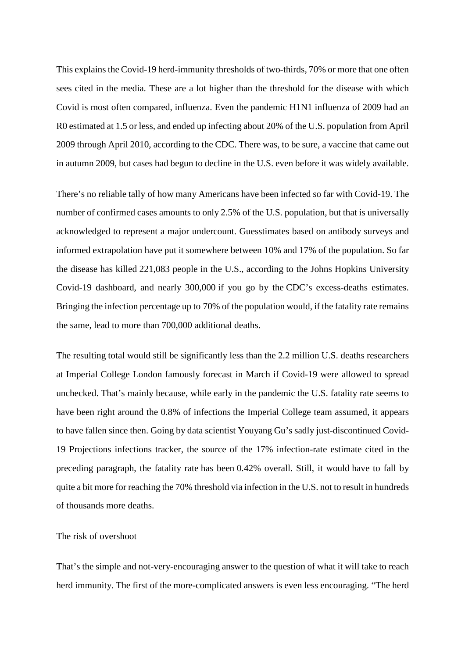This explains the Covid-19 herd-immunity thresholds of two-thirds, 70% or more that one often sees cited in the media. These are a lot higher than the threshold for the disease with which Covid is most often compared, influenza. Even the pandemic H1N1 influenza of 2009 had an R0 estimated at 1.5 or less, and ended up infecting about 20% of the U.S. population from April 2009 through April 2010, according to the CDC. There was, to be sure, a vaccine that came out in autumn 2009, but cases had begun to decline in the U.S. even before it was widely available.

There's no reliable tally of how many Americans have been infected so far with Covid-19. The number of confirmed cases amounts to only 2.5% of the U.S. population, but that is universally acknowledged to represent a major undercount. Guesstimates based on antibody surveys and informed extrapolation have put it somewhere between 10% and 17% of the population. So far the disease has killed 221,083 people in the U.S., according to the Johns Hopkins University Covid-19 dashboard, and nearly 300,000 if you go by the CDC's excess-deaths estimates. Bringing the infection percentage up to 70% of the population would, if the fatality rate remains the same, lead to more than 700,000 additional deaths.

The resulting total would still be significantly less than the 2.2 million U.S. deaths researchers at Imperial College London famously forecast in March if Covid-19 were allowed to spread unchecked. That's mainly because, while early in the pandemic the U.S. fatality rate seems to have been right around the 0.8% of infections the Imperial College team assumed, it appears to have fallen since then. Going by data scientist Youyang Gu's sadly just-discontinued Covid-19 Projections infections tracker, the source of the 17% infection-rate estimate cited in the preceding paragraph, the fatality rate has been 0.42% overall. Still, it would have to fall by quite a bit more for reaching the 70% threshold via infection in the U.S. not to result in hundreds of thousands more deaths.

#### The risk of overshoot

That's the simple and not-very-encouraging answer to the question of what it will take to reach herd immunity. The first of the more-complicated answers is even less encouraging. "The herd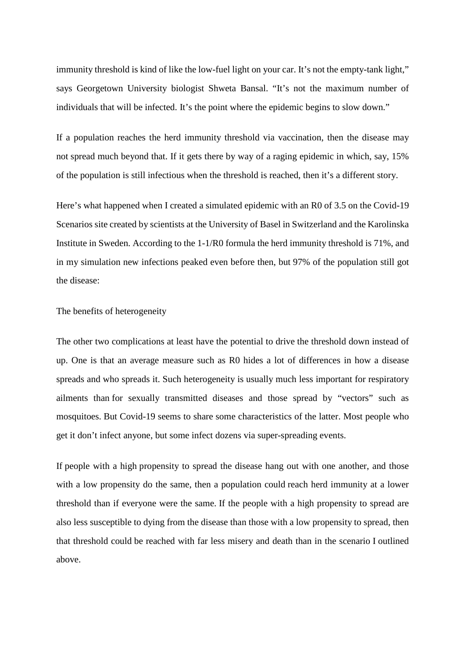immunity threshold is kind of like the low-fuel light on your car. It's not the empty-tank light," says Georgetown University biologist Shweta Bansal. "It's not the maximum number of individuals that will be infected. It's the point where the epidemic begins to slow down."

If a population reaches the herd immunity threshold via vaccination, then the disease may not spread much beyond that. If it gets there by way of a raging epidemic in which, say, 15% of the population is still infectious when the threshold is reached, then it's a different story.

Here's what happened when I created a simulated epidemic with an R0 of 3.5 on the Covid-19 Scenarios site created by scientists at the University of Basel in Switzerland and the Karolinska Institute in Sweden. According to the 1-1/R0 formula the herd immunity threshold is 71%, and in my simulation new infections peaked even before then, but 97% of the population still got the disease:

#### The benefits of heterogeneity

The other two complications at least have the potential to drive the threshold down instead of up. One is that an average measure such as R0 hides a lot of differences in how a disease spreads and who spreads it. Such heterogeneity is usually much less important for respiratory ailments than for sexually transmitted diseases and those spread by "vectors" such as mosquitoes. But Covid-19 seems to share some characteristics of the latter. Most people who get it don't infect anyone, but some infect dozens via super-spreading events.

If people with a high propensity to spread the disease hang out with one another, and those with a low propensity do the same, then a population could reach herd immunity at a lower threshold than if everyone were the same. If the people with a high propensity to spread are also less susceptible to dying from the disease than those with a low propensity to spread, then that threshold could be reached with far less misery and death than in the scenario I outlined above.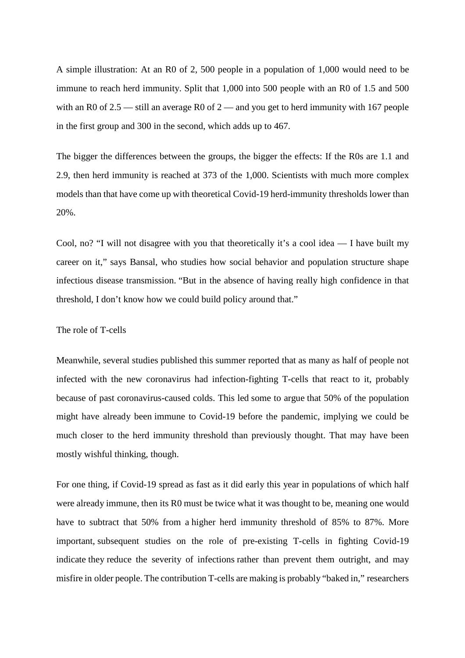A simple illustration: At an R0 of 2, 500 people in a population of 1,000 would need to be immune to reach herd immunity. Split that 1,000 into 500 people with an R0 of 1.5 and 500 with an R0 of  $2.5$  — still an average R0 of  $2$  — and you get to herd immunity with 167 people in the first group and 300 in the second, which adds up to 467.

The bigger the differences between the groups, the bigger the effects: If the R0s are 1.1 and 2.9, then herd immunity is reached at 373 of the 1,000. Scientists with much more complex models than that have come up with theoretical Covid-19 herd-immunity thresholds lower than 20%.

Cool, no? "I will not disagree with you that theoretically it's a cool idea — I have built my career on it," says Bansal, who studies how social behavior and population structure shape infectious disease transmission. "But in the absence of having really high confidence in that threshold, I don't know how we could build policy around that."

#### The role of T-cells

Meanwhile, several studies published this summer reported that as many as half of people not infected with the new coronavirus had infection-fighting T-cells that react to it, probably because of past coronavirus-caused colds. This led some to argue that 50% of the population might have already been immune to Covid-19 before the pandemic, implying we could be much closer to the herd immunity threshold than previously thought. That may have been mostly wishful thinking, though.

For one thing, if Covid-19 spread as fast as it did early this year in populations of which half were already immune, then its R0 must be twice what it was thought to be, meaning one would have to subtract that 50% from a higher herd immunity threshold of 85% to 87%. More important, subsequent studies on the role of pre-existing T-cells in fighting Covid-19 indicate they reduce the severity of infections rather than prevent them outright, and may misfire in older people. The contribution T-cells are making is probably "baked in," researchers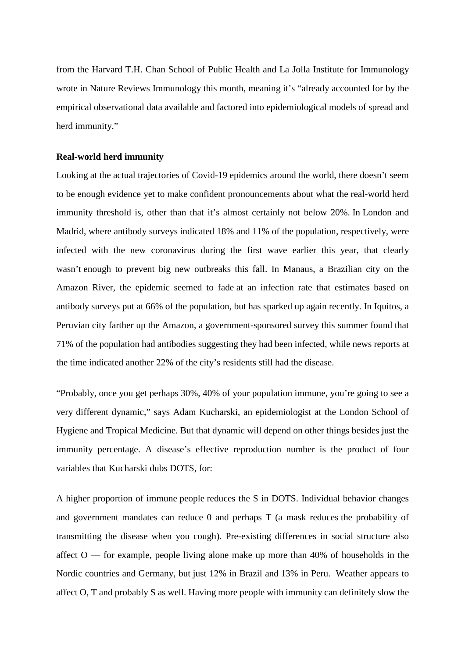from the Harvard T.H. Chan School of Public Health and La Jolla Institute for Immunology wrote in Nature Reviews Immunology this month, meaning it's "already accounted for by the empirical observational data available and factored into epidemiological models of spread and herd immunity."

#### **Real-world herd immunity**

Looking at the actual trajectories of Covid-19 epidemics around the world, there doesn't seem to be enough evidence yet to make confident pronouncements about what the real-world herd immunity threshold is, other than that it's almost certainly not below 20%. In London and Madrid, where antibody surveys indicated 18% and 11% of the population, respectively, were infected with the new coronavirus during the first wave earlier this year, that clearly wasn't enough to prevent big new outbreaks this fall. In Manaus, a Brazilian city on the Amazon River, the epidemic seemed to fade at an infection rate that estimates based on antibody surveys put at 66% of the population, but has sparked up again recently. In Iquitos, a Peruvian city farther up the Amazon, a government-sponsored survey this summer found that 71% of the population had antibodies suggesting they had been infected, while news reports at the time indicated another 22% of the city's residents still had the disease.

"Probably, once you get perhaps 30%, 40% of your population immune, you're going to see a very different dynamic," says Adam Kucharski, an epidemiologist at the London School of Hygiene and Tropical Medicine. But that dynamic will depend on other things besides just the immunity percentage. A disease's effective reproduction number is the product of four variables that Kucharski dubs DOTS, for:

A higher proportion of immune people reduces the S in DOTS. Individual behavior changes and government mandates can reduce 0 and perhaps T (a mask reduces the probability of transmitting the disease when you cough). Pre-existing differences in social structure also affect  $O$  — for example, people living alone make up more than 40% of households in the Nordic countries and Germany, but just 12% in Brazil and 13% in Peru. Weather appears to affect O, T and probably S as well. Having more people with immunity can definitely slow the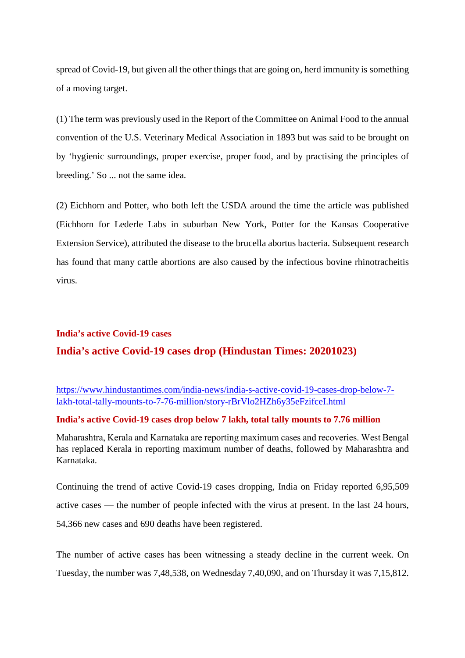spread of Covid-19, but given all the other things that are going on, herd immunity is something of a moving target.

(1) The term was previously used in the Report of the Committee on Animal Food to the annual convention of the U.S. Veterinary Medical Association in 1893 but was said to be brought on by 'hygienic surroundings, proper exercise, proper food, and by practising the principles of breeding.' So ... not the same idea.

(2) Eichhorn and Potter, who both left the USDA around the time the article was published (Eichhorn for Lederle Labs in suburban New York, Potter for the Kansas Cooperative Extension Service), attributed the disease to the brucella abortus bacteria. Subsequent research has found that many cattle abortions are also caused by the infectious bovine rhinotracheitis virus.

# **India's active Covid-19 cases**

#### **India's active Covid-19 cases drop (Hindustan Times: 20201023)**

https://www.hindustantimes.com/india-news/india-s-active-covid-19-cases-drop-below-7 lakh-total-tally-mounts-to-7-76-million/story-rBrVlo2HZh6y35eFzifceI.html

#### **India's active Covid-19 cases drop below 7 lakh, total tally mounts to 7.76 million**

Maharashtra, Kerala and Karnataka are reporting maximum cases and recoveries. West Bengal has replaced Kerala in reporting maximum number of deaths, followed by Maharashtra and Karnataka.

Continuing the trend of active Covid-19 cases dropping, India on Friday reported 6,95,509 active cases — the number of people infected with the virus at present. In the last 24 hours, 54,366 new cases and 690 deaths have been registered.

The number of active cases has been witnessing a steady decline in the current week. On Tuesday, the number was 7,48,538, on Wednesday 7,40,090, and on Thursday it was 7,15,812.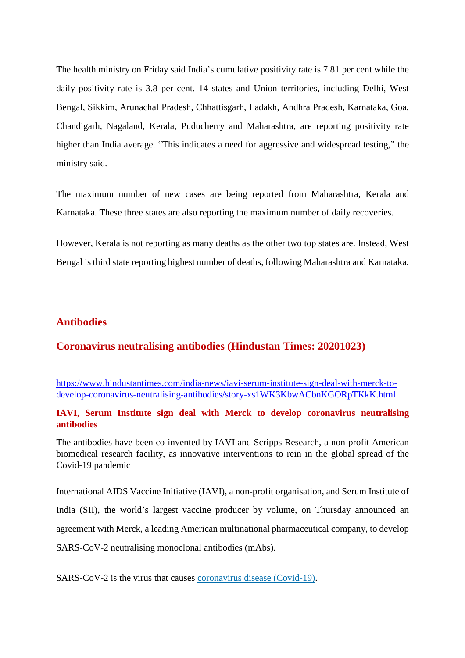The health ministry on Friday said India's cumulative positivity rate is 7.81 per cent while the daily positivity rate is 3.8 per cent. 14 states and Union territories, including Delhi, West Bengal, Sikkim, Arunachal Pradesh, Chhattisgarh, Ladakh, Andhra Pradesh, Karnataka, Goa, Chandigarh, Nagaland, Kerala, Puducherry and Maharashtra, are reporting positivity rate higher than India average. "This indicates a need for aggressive and widespread testing," the ministry said.

The maximum number of new cases are being reported from Maharashtra, Kerala and Karnataka. These three states are also reporting the maximum number of daily recoveries.

However, Kerala is not reporting as many deaths as the other two top states are. Instead, West Bengal is third state reporting highest number of deaths, following Maharashtra and Karnataka.

# **Antibodies**

#### **Coronavirus neutralising antibodies (Hindustan Times: 20201023)**

https://www.hindustantimes.com/india-news/iavi-serum-institute-sign-deal-with-merck-todevelop-coronavirus-neutralising-antibodies/story-xs1WK3KbwACbnKGORpTKkK.html

#### **IAVI, Serum Institute sign deal with Merck to develop coronavirus neutralising antibodies**

The antibodies have been co-invented by IAVI and Scripps Research, a non-profit American biomedical research facility, as innovative interventions to rein in the global spread of the Covid-19 pandemic

International AIDS Vaccine Initiative (IAVI), a non-profit organisation, and Serum Institute of India (SII), the world's largest vaccine producer by volume, on Thursday announced an agreement with Merck, a leading American multinational pharmaceutical company, to develop SARS-CoV-2 neutralising monoclonal antibodies (mAbs).

SARS-CoV-2 is the virus that causes coronavirus disease (Covid-19).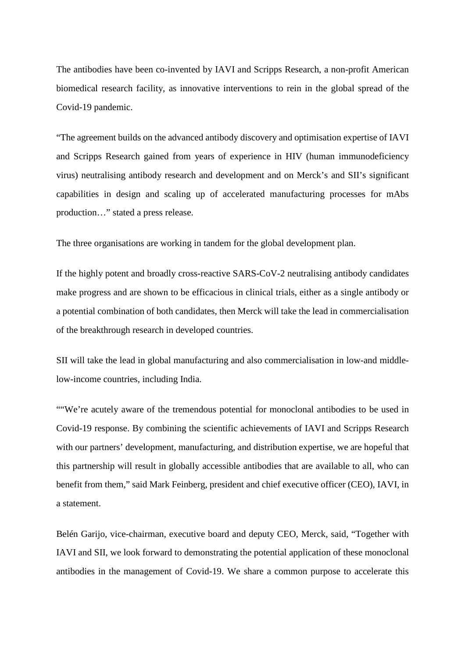The antibodies have been co-invented by IAVI and Scripps Research, a non-profit American biomedical research facility, as innovative interventions to rein in the global spread of the Covid-19 pandemic.

"The agreement builds on the advanced antibody discovery and optimisation expertise of IAVI and Scripps Research gained from years of experience in HIV (human immunodeficiency virus) neutralising antibody research and development and on Merck's and SII's significant capabilities in design and scaling up of accelerated manufacturing processes for mAbs production…" stated a press release.

The three organisations are working in tandem for the global development plan.

If the highly potent and broadly cross-reactive SARS-CoV-2 neutralising antibody candidates make progress and are shown to be efficacious in clinical trials, either as a single antibody or a potential combination of both candidates, then Merck will take the lead in commercialisation of the breakthrough research in developed countries.

SII will take the lead in global manufacturing and also commercialisation in low-and middlelow-income countries, including India.

""We're acutely aware of the tremendous potential for monoclonal antibodies to be used in Covid-19 response. By combining the scientific achievements of IAVI and Scripps Research with our partners' development, manufacturing, and distribution expertise, we are hopeful that this partnership will result in globally accessible antibodies that are available to all, who can benefit from them," said Mark Feinberg, president and chief executive officer (CEO), IAVI, in a statement.

Belén Garijo, vice-chairman, executive board and deputy CEO, Merck, said, "Together with IAVI and SII, we look forward to demonstrating the potential application of these monoclonal antibodies in the management of Covid-19. We share a common purpose to accelerate this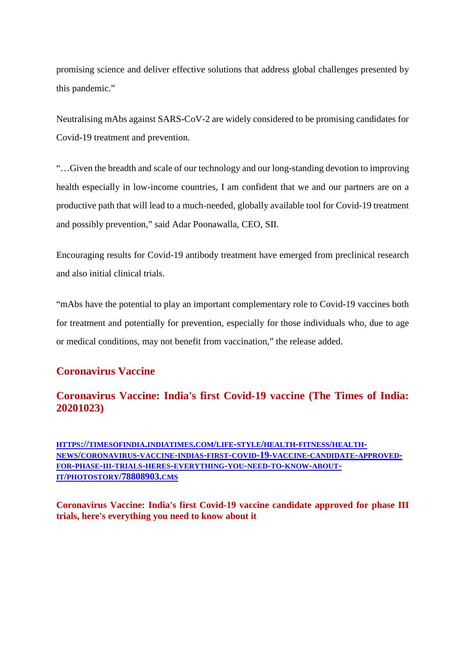promising science and deliver effective solutions that address global challenges presented by this pandemic."

Neutralising mAbs against SARS-CoV-2 are widely considered to be promising candidates for Covid-19 treatment and prevention.

"…Given the breadth and scale of our technology and our long-standing devotion to improving health especially in low-income countries, I am confident that we and our partners are on a productive path that will lead to a much-needed, globally available tool for Covid-19 treatment and possibly prevention," said Adar Poonawalla, CEO, SII.

Encouraging results for Covid-19 antibody treatment have emerged from preclinical research and also initial clinical trials.

"mAbs have the potential to play an important complementary role to Covid-19 vaccines both for treatment and potentially for prevention, especially for those individuals who, due to age or medical conditions, may not benefit from vaccination," the release added.

# **Coronavirus Vaccine**

# **Coronavirus Vaccine: India's first Covid-19 vaccine (The Times of India: 20201023)**

**HTTPS://TIMESOFINDIA.INDIATIMES.COM/LIFE-STYLE/HEALTH-FITNESS/HEALTH-NEWS/CORONAVIRUS-VACCINE-INDIAS-FIRST-COVID-19-VACCINE-CANDIDATE-APPROVED-FOR-PHASE-III-TRIALS-HERES-EVERYTHING-YOU-NEED-TO-KNOW-ABOUT-IT/PHOTOSTORY/78808903.CMS**

**Coronavirus Vaccine: India's first Covid-19 vaccine candidate approved for phase III trials, here's everything you need to know about it**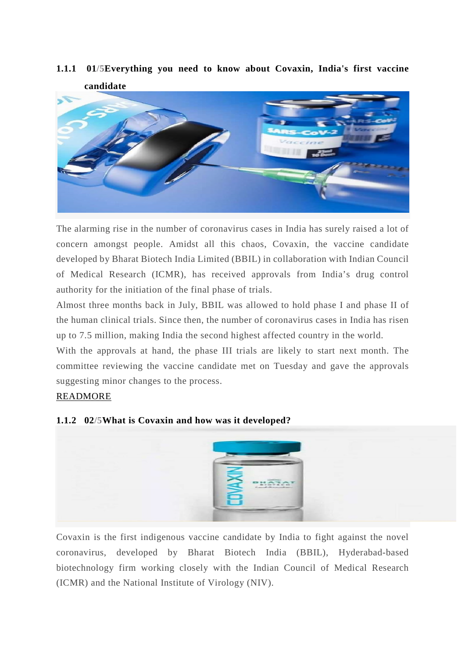

**1.1.1 01/5Everything you need to know about Covaxin, India's first vaccine candidate**

The alarming rise in the number of coronavirus cases in India has surely raised a lot of concern amongst people. Amidst all this chaos, Covaxin, the vaccine candidate developed by Bharat Biotech India Limited (BBIL) in collaboration with Indian Council of Medical Research (ICMR), has received approvals from India's drug control authority for the initiation of the final phase of trials.

Almost three months back in July, BBIL was allowed to hold phase I and phase II of the human clinical trials. Since then, the number of coronavirus cases in India has risen up to 7.5 million, making India the second highest affected country in the world.

With the approvals at hand, the phase III trials are likely to start next month. The committee reviewing the vaccine candidate met on Tuesday and gave the approvals suggesting minor changes to the process.

#### READMORE



#### **1.1.2 02/5What is Covaxin and how was it developed?**

Covaxin is the first indigenous vaccine candidate by India to fight against the novel coronavirus, developed by Bharat Biotech India (BBIL), Hyderabad-based biotechnology firm working closely with the Indian Council of Medical Research (ICMR) and the National Institute of Virology (NIV).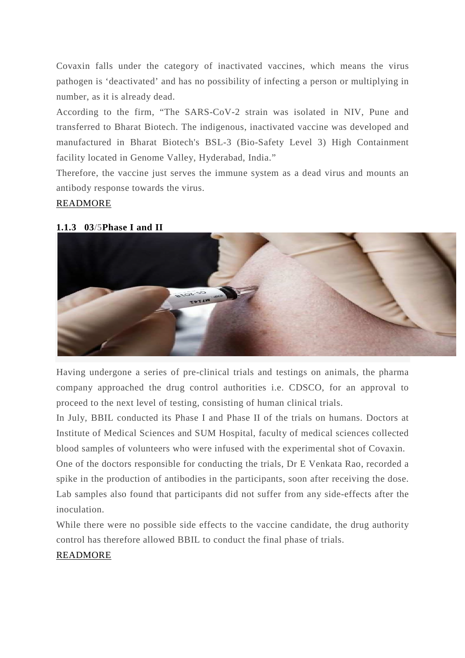Covaxin falls under the category of inactivated vaccines, which means the virus pathogen is 'deactivated' and has no possibility of infecting a person or multiplying in number, as it is already dead.

According to the firm, "The SARS-CoV-2 strain was isolated in NIV, Pune and transferred to Bharat Biotech. The indigenous, inactivated vaccine was developed and manufactured in Bharat Biotech's BSL-3 (Bio-Safety Level 3) High Containment facility located in Genome Valley, Hyderabad, India."

Therefore, the vaccine just serves the immune system as a dead virus and mounts an antibody response towards the virus.

#### READMORE

#### **1.1.3 03/5Phase I and II**



Having undergone a series of pre-clinical trials and testings on animals, the pharma company approached the drug control authorities i.e. CDSCO, for an approval to proceed to the next level of testing, consisting of human clinical trials.

In July, BBIL conducted its Phase I and Phase II of the trials on humans. Doctors at Institute of Medical Sciences and SUM Hospital, faculty of medical sciences collected blood samples of volunteers who were infused with the experimental shot of Covaxin.

One of the doctors responsible for conducting the trials, Dr E Venkata Rao, recorded a spike in the production of antibodies in the participants, soon after receiving the dose. Lab samples also found that participants did not suffer from any side-effects after the inoculation.

While there were no possible side effects to the vaccine candidate, the drug authority control has therefore allowed BBIL to conduct the final phase of trials.

#### READMORE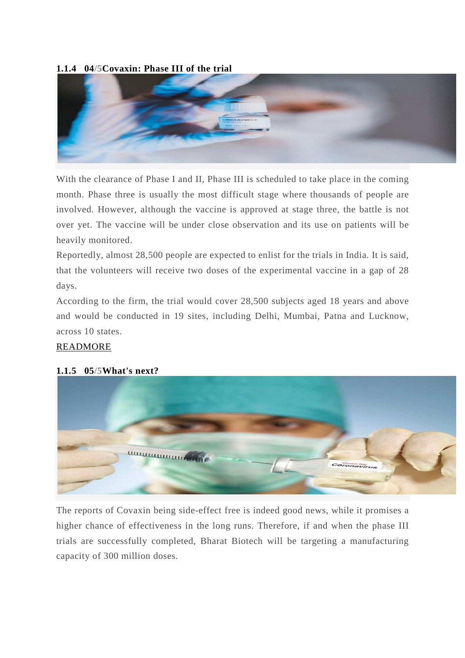#### **1.1.4 04/5Covaxin: Phase III of the trial**



With the clearance of Phase I and II, Phase III is scheduled to take place in the coming month. Phase three is usually the most difficult stage where thousands of people are involved. However, although the vaccine is approved at stage three, the battle is not over yet. The vaccine will be under close observation and its use on patients will be heavily monitored.

Reportedly, almost 28,500 people are expected to enlist for the trials in India. It is said, that the volunteers will receive two doses of the experimental vaccine in a gap of 28 days.

According to the firm, the trial would cover 28,500 subjects aged 18 years and above and would be conducted in 19 sites, including Delhi, Mumbai, Patna and Lucknow, across 10 states.

#### READMORE



#### **1.1.5 05/5What's next?**

*<u><u> ասասատատատ</u>*</u>

The reports of Covaxin being side-effect free is indeed good news, while it promises a higher chance of effectiveness in the long runs. Therefore, if and when the phase III trials are successfully completed, Bharat Biotech will be targeting a manufacturing capacity of 300 million doses.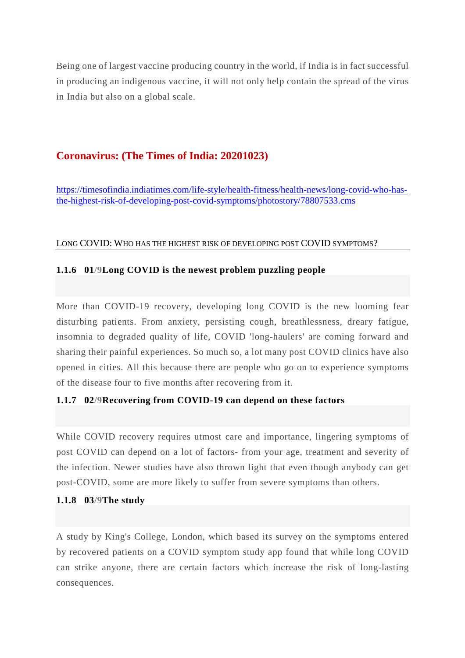Being one of largest vaccine producing country in the world, if India is in fact successful in producing an indigenous vaccine, it will not only help contain the spread of the virus in India but also on a global scale.

# **Coronavirus: (The Times of India: 20201023)**

https://timesofindia.indiatimes.com/life-style/health-fitness/health-news/long-covid-who-hasthe-highest-risk-of-developing-post-covid-symptoms/photostory/78807533.cms

#### LONG COVID: WHO HAS THE HIGHEST RISK OF DEVELOPING POST COVID SYMPTOMS?

# **1.1.6 01/9Long COVID is the newest problem puzzling people**

More than COVID-19 recovery, developing long COVID is the new looming fear disturbing patients. From anxiety, persisting cough, breathlessness, dreary fatigue, insomnia to degraded quality of life, COVID 'long-haulers' are coming forward and sharing their painful experiences. So much so, a lot many post COVID clinics have also opened in cities. All this because there are people who go on to experience symptoms of the disease four to five months after recovering from it.

# **1.1.7 02/9Recovering from COVID-19 can depend on these factors**

While COVID recovery requires utmost care and importance, lingering symptoms of post COVID can depend on a lot of factors- from your age, treatment and severity of the infection. Newer studies have also thrown light that even though anybody can get post-COVID, some are more likely to suffer from severe symptoms than others.

#### **1.1.8 03/9The study**

A study by King's College, London, which based its survey on the symptoms entered by recovered patients on a COVID symptom study app found that while long COVID can strike anyone, there are certain factors which increase the risk of long-lasting consequences.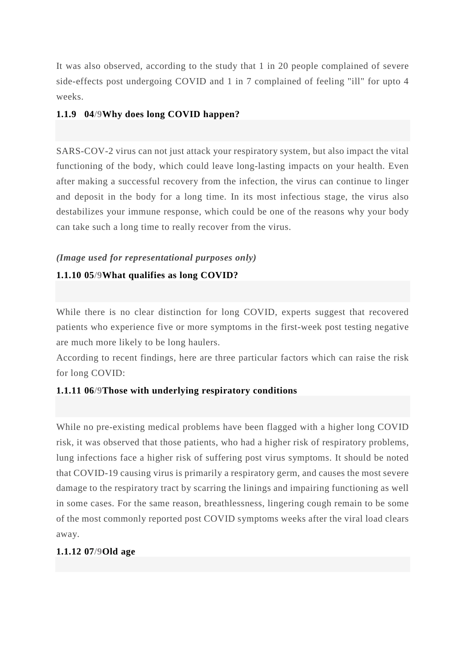It was also observed, according to the study that 1 in 20 people complained of severe side-effects post undergoing COVID and 1 in 7 complained of feeling "ill" for upto 4 weeks.

#### **1.1.9 04/9Why does long COVID happen?**

SARS-COV-2 virus can not just attack your respiratory system, but also impact the vital functioning of the body, which could leave long-lasting impacts on your health. Even after making a successful recovery from the infection, the virus can continue to linger and deposit in the body for a long time. In its most infectious stage, the virus also destabilizes your immune response, which could be one of the reasons why your body can take such a long time to really recover from the virus.

#### *(Image used for representational purposes only)*

#### **1.1.10 05/9What qualifies as long COVID?**

While there is no clear distinction for long COVID, experts suggest that recovered patients who experience five or more symptoms in the first-week post testing negative are much more likely to be long haulers.

According to recent findings, here are three particular factors which can raise the risk for long COVID:

#### **1.1.11 06/9Those with underlying respiratory conditions**

While no pre-existing medical problems have been flagged with a higher long COVID risk, it was observed that those patients, who had a higher risk of respiratory problems, lung infections face a higher risk of suffering post virus symptoms. It should be noted that COVID-19 causing virus is primarily a respiratory germ, and causes the most severe damage to the respiratory tract by scarring the linings and impairing functioning as well in some cases. For the same reason, breathlessness, lingering cough remain to be some of the most commonly reported post COVID symptoms weeks after the viral load clears away.

#### **1.1.12 07/9Old age**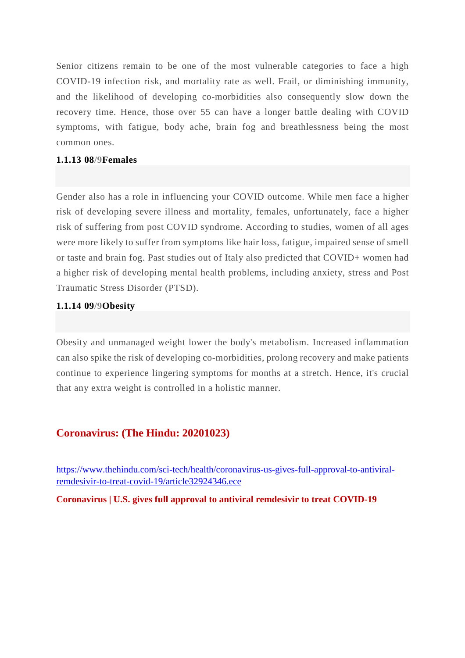Senior citizens remain to be one of the most vulnerable categories to face a high COVID-19 infection risk, and mortality rate as well. Frail, or diminishing immunity, and the likelihood of developing co-morbidities also consequently slow down the recovery time. Hence, those over 55 can have a longer battle dealing with COVID symptoms, with fatigue, body ache, brain fog and breathlessness being the most common ones.

#### **1.1.13 08/9Females**

Gender also has a role in influencing your COVID outcome. While men face a higher risk of developing severe illness and mortality, females, unfortunately, face a higher risk of suffering from post COVID syndrome. According to studies, women of all ages were more likely to suffer from symptoms like hair loss, fatigue, impaired sense of smell or taste and brain fog. Past studies out of Italy also predicted that COVID+ women had a higher risk of developing mental health problems, including anxiety, stress and Post Traumatic Stress Disorder (PTSD).

#### **1.1.14 09/9Obesity**

Obesity and unmanaged weight lower the body's metabolism. Increased inflammation can also spike the risk of developing co-morbidities, prolong recovery and make patients continue to experience lingering symptoms for months at a stretch. Hence, it's crucial that any extra weight is controlled in a holistic manner.

#### **Coronavirus: (The Hindu: 20201023)**

https://www.thehindu.com/sci-tech/health/coronavirus-us-gives-full-approval-to-antiviralremdesivir-to-treat-covid-19/article32924346.ece

**Coronavirus | U.S. gives full approval to antiviral remdesivir to treat COVID-19**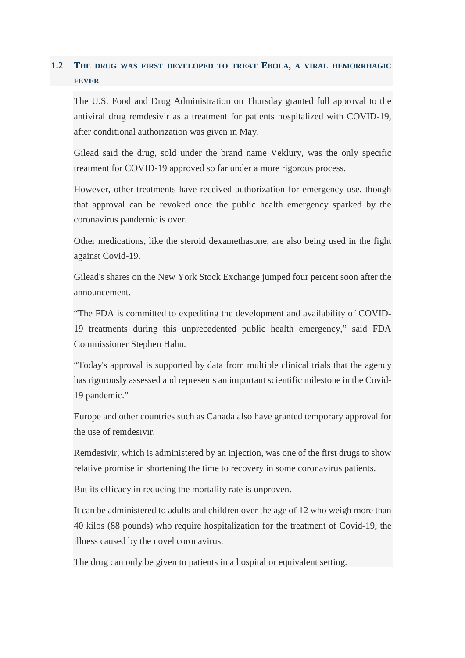# **1.2 THE DRUG WAS FIRST DEVELOPED TO TREAT EBOLA, A VIRAL HEMORRHAGIC FEVER**

The U.S. Food and Drug Administration on Thursday granted full approval to the antiviral drug remdesivir as a treatment for patients hospitalized with COVID-19, after conditional authorization was given in May.

Gilead said the drug, sold under the brand name Veklury, was the only specific treatment for COVID-19 approved so far under a more rigorous process.

However, other treatments have received authorization for emergency use, though that approval can be revoked once the public health emergency sparked by the coronavirus pandemic is over.

Other medications, like the steroid dexamethasone, are also being used in the fight against Covid-19.

Gilead's shares on the New York Stock Exchange jumped four percent soon after the announcement.

"The FDA is committed to expediting the development and availability of COVID-19 treatments during this unprecedented public health emergency," said FDA Commissioner Stephen Hahn.

"Today's approval is supported by data from multiple clinical trials that the agency has rigorously assessed and represents an important scientific milestone in the Covid-19 pandemic."

Europe and other countries such as Canada also have granted temporary approval for the use of remdesivir.

Remdesivir, which is administered by an injection, was one of the first drugs to show relative promise in shortening the time to recovery in some coronavirus patients.

But its efficacy in reducing the mortality rate is unproven.

It can be administered to adults and children over the age of 12 who weigh more than 40 kilos (88 pounds) who require hospitalization for the treatment of Covid-19, the illness caused by the novel coronavirus.

The drug can only be given to patients in a hospital or equivalent setting.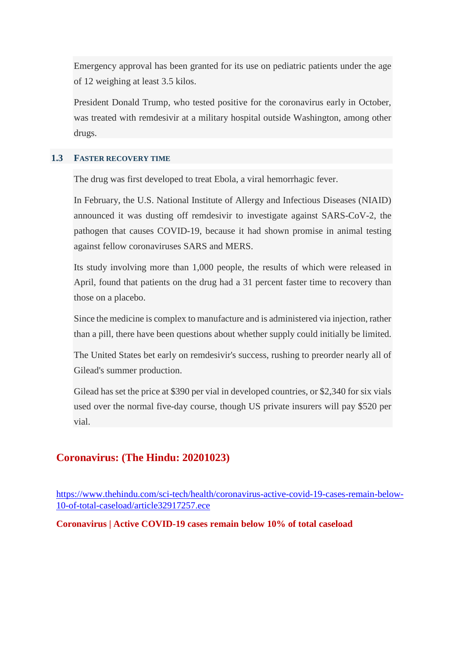Emergency approval has been granted for its use on pediatric patients under the age of 12 weighing at least 3.5 kilos.

President Donald Trump, who tested positive for the coronavirus early in October, was treated with remdesivir at a military hospital outside Washington, among other drugs.

#### **1.3 FASTER RECOVERY TIME**

The drug was first developed to treat Ebola, a viral hemorrhagic fever.

In February, the U.S. National Institute of Allergy and Infectious Diseases (NIAID) announced it was dusting off remdesivir to investigate against SARS-CoV-2, the pathogen that causes COVID-19, because it had shown promise in animal testing against fellow coronaviruses SARS and MERS.

Its study involving more than 1,000 people, the results of which were released in April, found that patients on the drug had a 31 percent faster time to recovery than those on a placebo.

Since the medicine is complex to manufacture and is administered via injection, rather than a pill, there have been questions about whether supply could initially be limited.

The United States bet early on remdesivir's success, rushing to preorder nearly all of Gilead's summer production.

Gilead has set the price at \$390 per vial in developed countries, or \$2,340 for six vials used over the normal five-day course, though US private insurers will pay \$520 per vial.

#### **Coronavirus: (The Hindu: 20201023)**

https://www.thehindu.com/sci-tech/health/coronavirus-active-covid-19-cases-remain-below-10-of-total-caseload/article32917257.ece

**Coronavirus | Active COVID-19 cases remain below 10% of total caseload**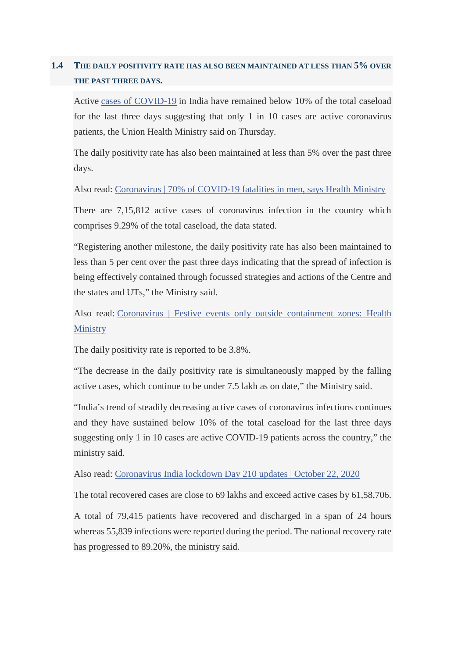# **1.4 THE DAILY POSITIVITY RATE HAS ALSO BEEN MAINTAINED AT LESS THAN 5% OVER THE PAST THREE DAYS.**

Active cases of COVID-19 in India have remained below 10% of the total caseload for the last three days suggesting that only 1 in 10 cases are active coronavirus patients, the Union Health Ministry said on Thursday.

The daily positivity rate has also been maintained at less than 5% over the past three days.

Also read: Coronavirus | 70% of COVID-19 fatalities in men, says Health Ministry

There are 7,15,812 active cases of coronavirus infection in the country which comprises 9.29% of the total caseload, the data stated.

"Registering another milestone, the daily positivity rate has also been maintained to less than 5 per cent over the past three days indicating that the spread of infection is being effectively contained through focussed strategies and actions of the Centre and the states and UTs," the Ministry said.

Also read: Coronavirus | Festive events only outside containment zones: Health **Ministry** 

The daily positivity rate is reported to be  $3.8\%$ .

"The decrease in the daily positivity rate is simultaneously mapped by the falling active cases, which continue to be under 7.5 lakh as on date," the Ministry said.

"India's trend of steadily decreasing active cases of coronavirus infections continues and they have sustained below 10% of the total caseload for the last three days suggesting only 1 in 10 cases are active COVID-19 patients across the country," the ministry said.

Also read: Coronavirus India lockdown Day 210 updates | October 22, 2020

The total recovered cases are close to 69 lakhs and exceed active cases by 61,58,706.

A total of 79,415 patients have recovered and discharged in a span of 24 hours whereas 55,839 infections were reported during the period. The national recovery rate has progressed to 89.20%, the ministry said.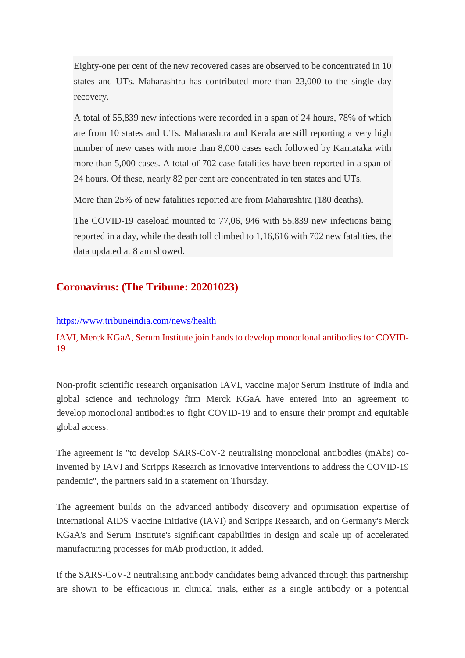Eighty-one per cent of the new recovered cases are observed to be concentrated in 10 states and UTs. Maharashtra has contributed more than 23,000 to the single day recovery.

A total of 55,839 new infections were recorded in a span of 24 hours, 78% of which are from 10 states and UTs. Maharashtra and Kerala are still reporting a very high number of new cases with more than 8,000 cases each followed by Karnataka with more than 5,000 cases. A total of 702 case fatalities have been reported in a span of 24 hours. Of these, nearly 82 per cent are concentrated in ten states and UTs.

More than 25% of new fatalities reported are from Maharashtra (180 deaths).

The COVID-19 caseload mounted to 77,06, 946 with 55,839 new infections being reported in a day, while the death toll climbed to 1,16,616 with 702 new fatalities, the data updated at 8 am showed.

# **Coronavirus: (The Tribune: 20201023)**

#### https://www.tribuneindia.com/news/health

IAVI, Merck KGaA, Serum Institute join hands to develop monoclonal antibodies for COVID-19

Non-profit scientific research organisation IAVI, vaccine major Serum Institute of India and global science and technology firm Merck KGaA have entered into an agreement to develop monoclonal antibodies to fight COVID-19 and to ensure their prompt and equitable global access.

The agreement is "to develop SARS-CoV-2 neutralising monoclonal antibodies (mAbs) coinvented by IAVI and Scripps Research as innovative interventions to address the COVID-19 pandemic", the partners said in a statement on Thursday.

The agreement builds on the advanced antibody discovery and optimisation expertise of International AIDS Vaccine Initiative (IAVI) and Scripps Research, and on Germany's Merck KGaA's and Serum Institute's significant capabilities in design and scale up of accelerated manufacturing processes for mAb production, it added.

If the SARS-CoV-2 neutralising antibody candidates being advanced through this partnership are shown to be efficacious in clinical trials, either as a single antibody or a potential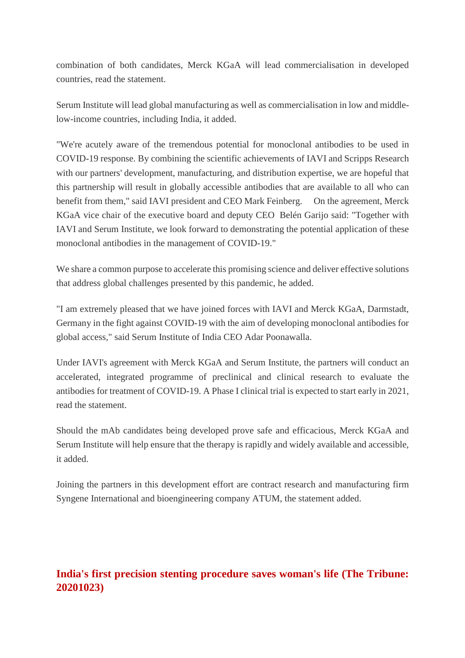combination of both candidates, Merck KGaA will lead commercialisation in developed countries, read the statement.

Serum Institute will lead global manufacturing as well as commercialisation in low and middlelow-income countries, including India, it added.

"We're acutely aware of the tremendous potential for monoclonal antibodies to be used in COVID-19 response. By combining the scientific achievements of IAVI and Scripps Research with our partners' development, manufacturing, and distribution expertise, we are hopeful that this partnership will result in globally accessible antibodies that are available to all who can benefit from them," said IAVI president and CEO Mark Feinberg. On the agreement, Merck KGaA vice chair of the executive board and deputy CEO Belén Garijo said: "Together with IAVI and Serum Institute, we look forward to demonstrating the potential application of these monoclonal antibodies in the management of COVID-19."

We share a common purpose to accelerate this promising science and deliver effective solutions that address global challenges presented by this pandemic, he added.

"I am extremely pleased that we have joined forces with IAVI and Merck KGaA, Darmstadt, Germany in the fight against COVID-19 with the aim of developing monoclonal antibodies for global access," said Serum Institute of India CEO Adar Poonawalla.

Under IAVI's agreement with Merck KGaA and Serum Institute, the partners will conduct an accelerated, integrated programme of preclinical and clinical research to evaluate the antibodies for treatment of COVID-19. A Phase I clinical trial is expected to start early in 2021, read the statement.

Should the mAb candidates being developed prove safe and efficacious, Merck KGaA and Serum Institute will help ensure that the therapy is rapidly and widely available and accessible, it added.

Joining the partners in this development effort are contract research and manufacturing firm Syngene International and bioengineering company ATUM, the statement added.

# **India's first precision stenting procedure saves woman's life (The Tribune: 20201023)**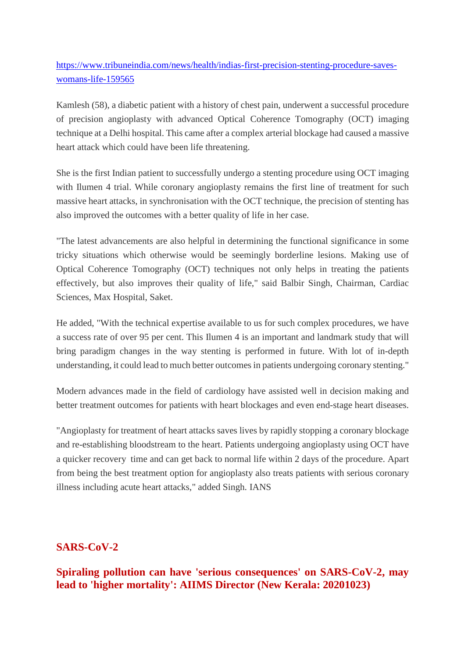https://www.tribuneindia.com/news/health/indias-first-precision-stenting-procedure-saveswomans-life-159565

Kamlesh (58), a diabetic patient with a history of chest pain, underwent a successful procedure of precision angioplasty with advanced Optical Coherence Tomography (OCT) imaging technique at a Delhi hospital. This came after a complex arterial blockage had caused a massive heart attack which could have been life threatening.

She is the first Indian patient to successfully undergo a stenting procedure using OCT imaging with Ilumen 4 trial. While coronary angioplasty remains the first line of treatment for such massive heart attacks, in synchronisation with the OCT technique, the precision of stenting has also improved the outcomes with a better quality of life in her case.

"The latest advancements are also helpful in determining the functional significance in some tricky situations which otherwise would be seemingly borderline lesions. Making use of Optical Coherence Tomography (OCT) techniques not only helps in treating the patients effectively, but also improves their quality of life," said Balbir Singh, Chairman, Cardiac Sciences, Max Hospital, Saket.

He added, "With the technical expertise available to us for such complex procedures, we have a success rate of over 95 per cent. This Ilumen 4 is an important and landmark study that will bring paradigm changes in the way stenting is performed in future. With lot of in-depth understanding, it could lead to much better outcomes in patients undergoing coronary stenting."

Modern advances made in the field of cardiology have assisted well in decision making and better treatment outcomes for patients with heart blockages and even end-stage heart diseases.

"Angioplasty for treatment of heart attacks saves lives by rapidly stopping a coronary blockage and re-establishing bloodstream to the heart. Patients undergoing angioplasty using OCT have a quicker recovery time and can get back to normal life within 2 days of the procedure. Apart from being the best treatment option for angioplasty also treats patients with serious coronary illness including acute heart attacks," added Singh. IANS

# **SARS-CoV-2**

**Spiraling pollution can have 'serious consequences' on SARS-CoV-2, may lead to 'higher mortality': AIIMS Director (New Kerala: 20201023)**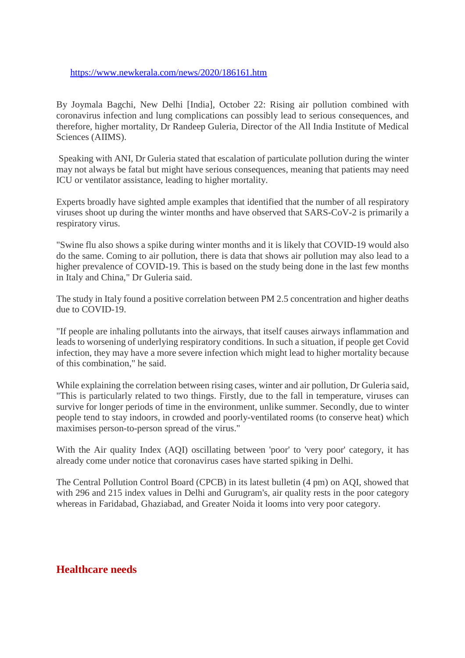https://www.newkerala.com/news/2020/186161.htm

By Joymala Bagchi, New Delhi [India], October 22: Rising air pollution combined with coronavirus infection and lung complications can possibly lead to serious consequences, and therefore, higher mortality, Dr Randeep Guleria, Director of the All India Institute of Medical Sciences (AIIMS).

Speaking with ANI, Dr Guleria stated that escalation of particulate pollution during the winter may not always be fatal but might have serious consequences, meaning that patients may need ICU or ventilator assistance, leading to higher mortality.

Experts broadly have sighted ample examples that identified that the number of all respiratory viruses shoot up during the winter months and have observed that SARS-CoV-2 is primarily a respiratory virus.

"Swine flu also shows a spike during winter months and it is likely that COVID-19 would also do the same. Coming to air pollution, there is data that shows air pollution may also lead to a higher prevalence of COVID-19. This is based on the study being done in the last few months in Italy and China," Dr Guleria said.

The study in Italy found a positive correlation between PM 2.5 concentration and higher deaths due to COVID-19.

"If people are inhaling pollutants into the airways, that itself causes airways inflammation and leads to worsening of underlying respiratory conditions. In such a situation, if people get Covid infection, they may have a more severe infection which might lead to higher mortality because of this combination," he said.

While explaining the correlation between rising cases, winter and air pollution, Dr Guleria said, "This is particularly related to two things. Firstly, due to the fall in temperature, viruses can survive for longer periods of time in the environment, unlike summer. Secondly, due to winter people tend to stay indoors, in crowded and poorly-ventilated rooms (to conserve heat) which maximises person-to-person spread of the virus."

With the Air quality Index (AQI) oscillating between 'poor' to 'very poor' category, it has already come under notice that coronavirus cases have started spiking in Delhi.

The Central Pollution Control Board (CPCB) in its latest bulletin (4 pm) on AQI, showed that with 296 and 215 index values in Delhi and Gurugram's, air quality rests in the poor category whereas in Faridabad, Ghaziabad, and Greater Noida it looms into very poor category.

# **Healthcare needs**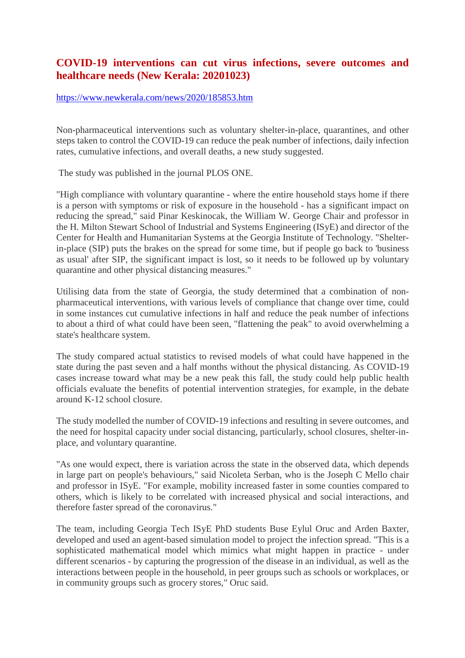# **COVID-19 interventions can cut virus infections, severe outcomes and healthcare needs (New Kerala: 20201023)**

#### https://www.newkerala.com/news/2020/185853.htm

Non-pharmaceutical interventions such as voluntary shelter-in-place, quarantines, and other steps taken to control the COVID-19 can reduce the peak number of infections, daily infection rates, cumulative infections, and overall deaths, a new study suggested.

The study was published in the journal PLOS ONE.

"High compliance with voluntary quarantine - where the entire household stays home if there is a person with symptoms or risk of exposure in the household - has a significant impact on reducing the spread," said Pinar Keskinocak, the William W. George Chair and professor in the H. Milton Stewart School of Industrial and Systems Engineering (ISyE) and director of the Center for Health and Humanitarian Systems at the Georgia Institute of Technology. "Shelterin-place (SIP) puts the brakes on the spread for some time, but if people go back to 'business as usual' after SIP, the significant impact is lost, so it needs to be followed up by voluntary quarantine and other physical distancing measures."

Utilising data from the state of Georgia, the study determined that a combination of nonpharmaceutical interventions, with various levels of compliance that change over time, could in some instances cut cumulative infections in half and reduce the peak number of infections to about a third of what could have been seen, "flattening the peak" to avoid overwhelming a state's healthcare system.

The study compared actual statistics to revised models of what could have happened in the state during the past seven and a half months without the physical distancing. As COVID-19 cases increase toward what may be a new peak this fall, the study could help public health officials evaluate the benefits of potential intervention strategies, for example, in the debate around K-12 school closure.

The study modelled the number of COVID-19 infections and resulting in severe outcomes, and the need for hospital capacity under social distancing, particularly, school closures, shelter-inplace, and voluntary quarantine.

"As one would expect, there is variation across the state in the observed data, which depends in large part on people's behaviours," said Nicoleta Serban, who is the Joseph C Mello chair and professor in ISyE. "For example, mobility increased faster in some counties compared to others, which is likely to be correlated with increased physical and social interactions, and therefore faster spread of the coronavirus."

The team, including Georgia Tech ISyE PhD students Buse Eylul Oruc and Arden Baxter, developed and used an agent-based simulation model to project the infection spread. "This is a sophisticated mathematical model which mimics what might happen in practice - under different scenarios - by capturing the progression of the disease in an individual, as well as the interactions between people in the household, in peer groups such as schools or workplaces, or in community groups such as grocery stores," Oruc said.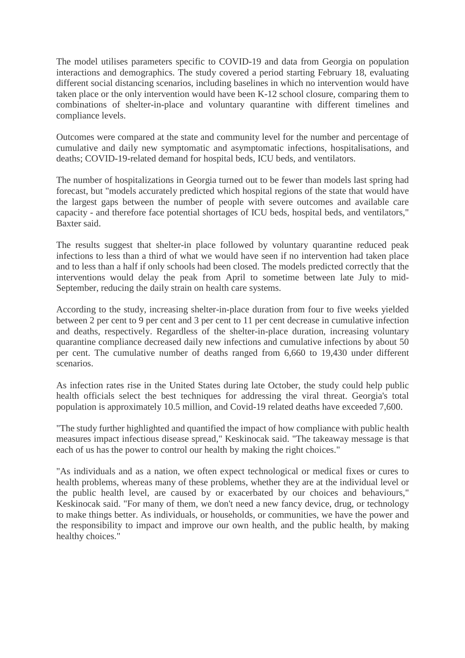The model utilises parameters specific to COVID-19 and data from Georgia on population interactions and demographics. The study covered a period starting February 18, evaluating different social distancing scenarios, including baselines in which no intervention would have taken place or the only intervention would have been K-12 school closure, comparing them to combinations of shelter-in-place and voluntary quarantine with different timelines and compliance levels.

Outcomes were compared at the state and community level for the number and percentage of cumulative and daily new symptomatic and asymptomatic infections, hospitalisations, and deaths; COVID-19-related demand for hospital beds, ICU beds, and ventilators.

The number of hospitalizations in Georgia turned out to be fewer than models last spring had forecast, but "models accurately predicted which hospital regions of the state that would have the largest gaps between the number of people with severe outcomes and available care capacity - and therefore face potential shortages of ICU beds, hospital beds, and ventilators," Baxter said.

The results suggest that shelter-in place followed by voluntary quarantine reduced peak infections to less than a third of what we would have seen if no intervention had taken place and to less than a half if only schools had been closed. The models predicted correctly that the interventions would delay the peak from April to sometime between late July to mid-September, reducing the daily strain on health care systems.

According to the study, increasing shelter-in-place duration from four to five weeks yielded between 2 per cent to 9 per cent and 3 per cent to 11 per cent decrease in cumulative infection and deaths, respectively. Regardless of the shelter-in-place duration, increasing voluntary quarantine compliance decreased daily new infections and cumulative infections by about 50 per cent. The cumulative number of deaths ranged from 6,660 to 19,430 under different scenarios.

As infection rates rise in the United States during late October, the study could help public health officials select the best techniques for addressing the viral threat. Georgia's total population is approximately 10.5 million, and Covid-19 related deaths have exceeded 7,600.

"The study further highlighted and quantified the impact of how compliance with public health measures impact infectious disease spread," Keskinocak said. "The takeaway message is that each of us has the power to control our health by making the right choices."

"As individuals and as a nation, we often expect technological or medical fixes or cures to health problems, whereas many of these problems, whether they are at the individual level or the public health level, are caused by or exacerbated by our choices and behaviours," Keskinocak said. "For many of them, we don't need a new fancy device, drug, or technology to make things better. As individuals, or households, or communities, we have the power and the responsibility to impact and improve our own health, and the public health, by making healthy choices."